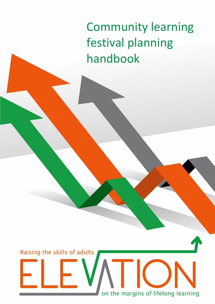Community learning festival planning handbook

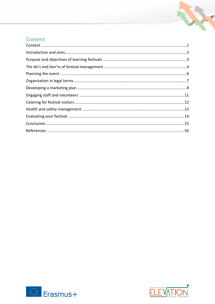

# <span id="page-1-0"></span>Content



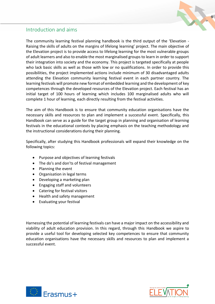

#### <span id="page-2-0"></span>Introduction and aims

The community learning festival planning handbook is the third output of the 'Elevation - Raising the skills of adults on the margins of lifelong learning' project. The main objective of the Elevation project is to provide access to lifelong learning for the most vulnerable groups of adult learners and also to enable the most marginalised groups to learn in order to support their integration into society and the economy. This project is targeted specifically at people who lack basic skills as well as those with low or no qualifications. In order to provide this possibilities, the project implemented actions include minimum of 30 disadvantaged adults attending the Elevation community learning festival event in each partner country. The learning festivals will promote new format of embedded learning and the development of key competences through the developed resources of the Elevation project. Each festival has an initial target of 100 hours of learning which includes 100 marginalised adults who will complete 1 hour of learning, each directly resulting from the festival activities.

The aim of this Handbook is to ensure that community education organisations have the necessary skills and resources to plan and implement a successful event. Specifically, this Handbook can serve as a guide for the target group in planning and organisation of learning festivals in the educational contexts by placing emphasis on the teaching methodology and the instructional considerations during their planning.

Specifically, after studying this Handbook professionals will expand their knowledge on the following topics:

- Purpose and objectives of learning festivals
- The do's and don'ts of festival management
- Planning the event
- Organisation in legal terms
- Developing a marketing plan
- Engaging staff and volunteers
- Catering for festival visitors
- Health and safety management
- Evaluating your festival

Harnessing the potential of learning festivals can have a major impact on the accessibility and viability of adult education provision. In this regard, through this Handbook we aspire to provide a useful tool for developing selected key competences to ensure that community education organisations have the necessary skills and resources to plan and implement a successful event.



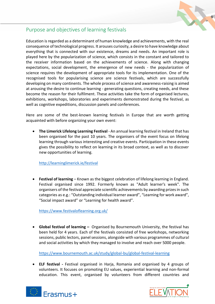

## <span id="page-3-0"></span>Purpose and objectives of learning festivals

Education is regarded as a determinant of human knowledge and achievements, with the real consequence of technological progress. It arouses curiosity, a desire to have knowledge about everything that is connected with our existence, dreams and needs. An important role is played here by the popularization of science, which consists in the constant and tailored to the receiver information based on the achievements of science. Along with changing expectations, social development, the emergence of new needs - the popularization of science requires the development of appropriate tools for its implementation. One of the recognised tools for popularising science are science festivals, which are successfully developing on many continents. The whole process of science and awareness-raising is aimed at arousing the desire to continue learning - generating questions, creating needs, and these become the reason for their fulfilment. These activities take the form of organised lectures, exhibitions, workshops, laboratories and experiments demonstrated during the festival, as well as cognitive expeditions, discussion panels and conferences.

Here are some of the best-known learning festivals in Europe that are worth getting acquainted with before organizing your own event:

• **The Limerick Lifelong Learning Festival** - An annual learning festival in Ireland that has been organised for the past 10 years. The organisers of the event focus on lifelong learning through various interesting and creative events. Participation in these events gives the possibility to reflect on learning in its broad context, as well as to discover new opportunities of learning.

<http://learninglimerick.ie/festival>

• **Festival of learning** – Known as the biggest celebration of lifelong learning in England. Festival organised since 1992. Formerly known as "Adult learner's week". The organisers of the festival appreciate scientific achievements by awarding prizes in such categories as e.g.: "Outstanding individual learner award", "Learning for work award", "Social impact award" or "Learning for health award".

<https://www.festivaloflearning.org.uk/>

• **Global festival of learning –** Organised by Bournemouth University, the festival has been held for 4 years. Each of the festivals consisted of free workshops, networking sessions, public lectors, panel sessions, alongside with various programmes of cultural and social activities by which they managed to involve and reach over 5000 people.

<https://www.bournemouth.ac.uk/study/global-bu/global-festival-learning>

• **ELF festival -** Festival organised in Harja, Romania and organised by 4 groups of volunteers. It focuses on promoting EU values, experiential learning and non-formal education. This event, organised by volunteers from different countries and



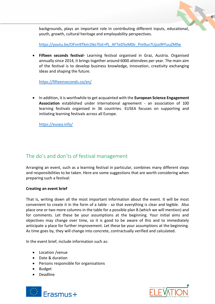

backgrounds, plays an important role in contributing different inputs, educational, youth, growth, cultural heritage and employability perspectives.

[https://youtu.be/OFvn9Tkm1No?list=PL\\_AFTeD5vM0ir\\_Pm9uv7Ujso9FFuuZMfw](https://youtu.be/OFvn9Tkm1No?list=PL_AFTeD5vM0ir_Pm9uv7Ujso9FFuuZMfw)

• **Fifteen seconds festival-** Learning festival organised in Graz, Austria. Organised annually since 2014, it brings together around 6000 attendees per year. The main aim of the festival is to develop business knowledge, innovation, creativity exchanging ideas and shaping the future.

<https://fifteenseconds.co/en/>

• In addition, it is worthwhile to get acquainted with the **European Science Engagement Association** established under international agreement - an association of 100 learning festivals organised in 36 countries. EUSEA focuses on supporting and initiating learning festivals across all Europe.

<https://eusea.info/>

## <span id="page-4-0"></span>The do's and don'ts of festival management

Arranging an event, such as a learning festival in particular, combines many different steps and responsibilities to be taken. Here are some suggestions that are worth considering when preparing such a festival:

#### **Creating an event brief**

That is, writing down all the most important information about the event. It will be most convenient to create it in the form of a table - so that everything is clear and legible. Also place one or two more columns in the table for a possible plan B (which we will mention) and for comments. Let these be your assumptions at the beginning. Your initial aims and objectives may change over time, so it is good to be aware of this and to immediately anticipate a place for further improvement. Let these be your assumptions at the beginning. As time goes by, they will change into concrete, contractually verified and calculated.

In the event brief, include information such as:

- Location /venue
- Date & duration
- Persons responsible for organisations
- Budget
- Deadline



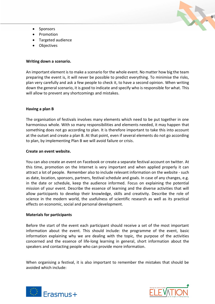

- Sponsors
- Promotion
- Targeted audience
- Objectives

#### **Writing down a scenario.**

An important element is to make a scenario for the whole event. No matter how big the team preparing the event is, it will never be possible to predict everything. To minimise the risks, plan very carefully and ask a few people to check it, to have a second opinion. When writing down the general scenario, it is good to indicate and specify who is responsible for what. This will allow to prevent any shortcomings and mistakes.

#### **Having a plan B**

The organisation of festivals involves many elements which need to be put together in one harmonious whole. With so many responsibilities and elements needed, it may happen that something does not go according to plan. It is therefore important to take this into account at the outset and create a plan B. At that point, even if several elements do not go according to plan, by implementing Plan B we will avoid failure or crisis.

#### **Create an event website.**

You can also create an event on Facebook or create a separate festival account on twitter. At this time, promotion on the Internet is very important and when applied properly it can attract a lot of people. Remember also to include relevant information on the website - such as date, location, sponsors, partners, festival schedule and goals. In case of any changes, e.g. in the date or schedule, keep the audience informed. Focus on explaining the potential mission of your event. Describe the essence of learning and the diverse activities that will allow participants to develop their knowledge, skills and creativity. Describe the role of science in the modern world, the usefulness of scientific research as well as its practical effects on economic, social and personal development.

#### **Materials for participants**

Before the start of the event each participant should receive a set of the most important information about the event. This should include: the programme of the event, basic information explaining why we are dealing with the topic, the purpose of the activities concerned and the essence of life-long learning in general, short information about the speakers and contacting people who can provide more information.

When organising a festival, it is also important to remember the mistakes that should be avoided which include:



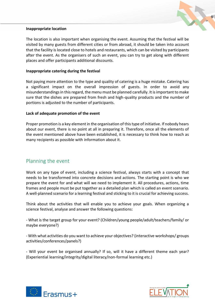

#### **Inappropriate location**

The location is also important when organising the event. Assuming that the festival will be visited by many guests from different cities or from abroad, it should be taken into account that the facility is located close to hotels and restaurants, which can be visited by participants after the event. As the organisers of such an event, you can try to get along with different places and offer participants additional discounts.

#### **Inappropriate catering during the festival**

Not paying more attention to the type and quality of catering is a huge mistake. Catering has a significant impact on the overall impression of guests. In order to avoid any misunderstandings in this regard, the menu must be planned carefully. It is important to make sure that the dishes are prepared from fresh and high-quality products and the number of portions is adjusted to the number of participants.

#### **Lack of adequate promotion of the event**

Proper promotion is a key element in the organisation of this type of initiative. If nobody hears about our event, there is no point at all in preparing it. Therefore, once all the elements of the event mentioned above have been established, it is necessary to think how to reach as many recipients as possible with information about it.

#### <span id="page-6-0"></span>Planning the event

Work on any type of event, including a science festival, always starts with a concept that needs to be transformed into concrete decisions and actions. The starting point is who we prepare the event for and what will we need to implement it. All procedures, actions, time frames and people must be put together as a detailed plan which is called an event scenario. A well-planned scenario for a learning festival and sticking to it is crucial for achieving success.

Think about the activities that will enable you to achieve your goals. When organizing a science festival, analyse and answer the following questions:

- What is the target group for your event? (Children/young people/adult/teachers/family/ or maybe everyone?)

- With what activities do you want to achieve your objectives? (interactive workshops/ groups activities/conferences/panels?)

- Will your event be organised annually? If so, will it have a different theme each year? (Experiential learning/integrity/digital literacy/non-formal learning etc.)



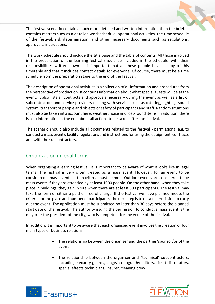

The festival scenario contains much more detailed and written information than the brief. It contains matters such as a detailed work schedule, operational activities, the time schedule of the festival, risk determination, and other necessary documents such as regulations, approvals, instructions.

The work schedule should include the title page and the table of contents. All those involved in the preparation of the learning festival should be included in the schedule, with their responsibilities written down. It is important that all these people have a copy of this timetable and that it includes contact details for everyone. Of course, there must be a time schedule from the preparation stage to the end of the festival.

The description of operational activities is a collection of all information and procedures from the perspective of production. It contains information about what special guests will be at the event. It also lists all contracts and approvals necessary during the event as well as a list of subcontractors and service providers dealing with services such as catering, lighting, sound system, transport of people and objects or safety of participants and staff. Random situations must also be taken into account here: weather, noise and lost/found items. In addition, there is also information at the end about all actions to be taken after the festival.

The scenario should also include all documents related to the festival - permissions (e.g. to conduct a mass event), facility regulations and instructions for using the equipment, contracts and with the subcontractors.

## <span id="page-7-0"></span>Organization in legal terms

When organising a learning festival, it is important to be aware of what it looks like in legal terms. The festival is very often treated as a mass event. However, for an event to be considered a mass event, certain criteria must be met. Outdoor events are considered to be mass events if they are attended by at least 1000 people. On the other hand, when they take place in buildings, they gain in size when there are at least 500 participants. The festival may take the form of either a paid or free of charge. If the festival we have planned meets the criteria for the place and number of participants, the next step is to obtain permission to carry out the event. The application must be submitted no later than 30 days before the planned start date of the festival. The authority issuing the permission to conduct a mass event is the mayor or the president of the city, who is competent for the venue of the festival.

In addition, it is important to be aware that each organised event involves the creation of four main types of business relations:

- The relationship between the organiser and the partner/sponsor/or of the event
- The relationship between the organiser and "technical" subcontractors, including: security guards, stage/scenography editors, ticket distributors, special effects technicians, insurer, cleaning crew



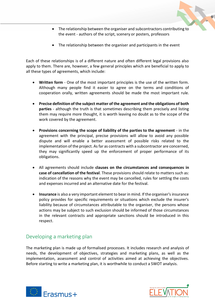

- The relationship between the organiser and subcontractors contributing to the event - authors of the script, scenery or posters, professors
- The relationship between the organiser and participants in the event

Each of these relationships is of a different nature and often different legal provisions also apply to them. There are, however, a few general principles which are beneficial to apply to all these types of agreements, which include:

- **Written form** One of the most important principles is the use of the written form. Although many people find it easier to agree on the terms and conditions of cooperation orally, written agreements should be made the most important rule.
- **Precise definition of the subject matter of the agreement and the obligations of both parties** - although the truth is that sometimes describing them precisely and listing them may require more thought, it is worth leaving no doubt as to the scope of the work covered by the agreement.
- **Provisions concerning the scope of liability of the parties to the agreement** in the agreement with the principal, precise provisions will allow to avoid any possible dispute and will enable a better assessment of possible risks related to the implementation of the project. As far as contracts with a subcontractor are concerned, they may significantly speed up the enforcement of proper performance of its obligations.
- All agreements should include **clauses on the circumstances and consequences in case of cancellation of the festival**. These provisions should relate to matters such as: indication of the reasons why the event may be cancelled, rules for settling the costs and expenses incurred and an alternative date for the festival.
- **Insurance** is also a very important element to bear in mind. If the organiser's insurance policy provides for specific requirements or situations which exclude the insurer's liability because of circumstances attributable to the organiser, the persons whose actions may be subject to such exclusion should be informed of those circumstances in the relevant contracts and appropriate sanctions should be introduced in this respect.

## <span id="page-8-0"></span>Developing a marketing plan

The marketing plan is made up of formalised processes. It includes research and analysis of needs, the development of objectives, strategies and marketing plans, as well as the implementation, assessment and control of activities aimed at achieving the objectives. Before starting to write a marketing plan, it is worthwhile to conduct a SWOT analysis.



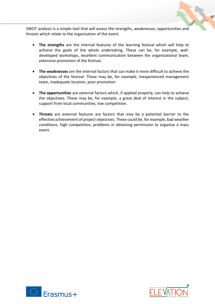

SWOT analysis is a simple tool that will assess the strengths, weaknesses, opportunities and threats which relate to the organisation of the event.

- **The strengths** are the internal features of the learning festival which will help to achieve the goals of the whole undertaking. These can be, for example, welldeveloped workshops, excellent communication between the organisational team, extensive promotion of the festival.
- **The weaknesses** are the internal factors that can make it more difficult to achieve the objectives of the festival. These may be, for example, inexperienced management team, inadequate location, poor promotion
- **The opportunities** are external factors which, if applied properly, can help to achieve the objectives. These may be, for example, a great deal of interest in the subject, support from local communities, low competition.
- **Threats** are external features are factors that may be a potential barrier to the effective achievement of project objectives. These could be, for example, bad weather conditions, high competition, problems in obtaining permission to organise a mass event.



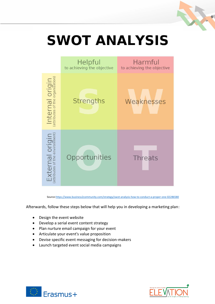

# **SWOT ANALYSIS**



Sourc[e:https://www.business2community.com/strategy/swot-analysis-how-to-conduct-a-proper-one-02286580](https://www.business2community.com/strategy/swot-analysis-how-to-conduct-a-proper-one-02286580)

Afterwards, follow these steps below that will help you in developing a marketing plan:

- Design the event website
- Develop a serial event content strategy
- Plan nurture email campaign for your event
- Articulate your event's value proposition
- Devise specific event messaging for decision-makers
- Launch targeted event social media campaigns



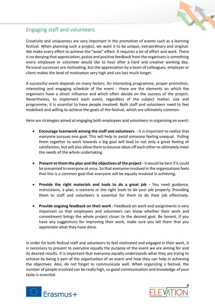

## <span id="page-11-0"></span>Engaging staff and volunteers

Creativity and uniqueness are very important in the promotion of events such as a learning festival. When planning such a project, we want it to be unique, extraordinary and original. We make every effort to achieve the "wow" effect. It requires a lot of effort and work. There is no denying that appreciation, praise and positive feedback from the organisers is something every employee or volunteer would like to hear after a hard and creative working day. Personal successes are motivating, but the appreciation by a team of colleagues, employer or client makes the level of motivation very high and can last much longer.

A successful event depends on many factors. An interesting programme, proper promotion, interesting and engaging schedule of the event - these are the elements on which the organisers have a direct influence and which often decide on the success of the project. Nevertheless, to implement each event, regardless of the subject matter, size and programme, it is essential to have people involved. Both staff and volunteers need to feel mobilised and willing to achieve the goals of the festival, which are ultimately common.

Here are strategies aimed at engaging both employees and volunteers in organising an event:

- **Encourage teamwork among the staff and volunteers**. It is important to realise that everyone pursues one goal. This will help to avoid someone feeling unequal. Pulling them together to work towards a big goal will lead to not only a great feeling of satisfaction, but will also allow them to bounce ideas off each other to ultimately meet the needs of the whole undertaking.
- **Present to them the plan and the objectives of the project** it would be best if it could be presented to everyone at once. So that everyone involved in the organisations feels that this is a common goal that everyone will be equally involved in achieving.
- **Provide the right materials and tools to do a great job -** You need guidance, instructions, a plan, a scenario or the right tools to do your job properly. Providing them to staff and volunteers is essential for them to do their job effectively.
- **Provide ongoing feedback on their work -** Feedback on work and assignments is very important so that employees and volunteers can know whether their work and commitment brings the whole project closer to the desired goal. Be honest, if you have any suggestions for improving their work, make sure you tell them that you appreciate what they have done.

In order for both festival staff and volunteers to feel motivated and engaged in their work, it is necessary to present to everyone equally the purpose of the event we are aiming for and its desired results. It is important that everyone equally understands what they are trying to achieve by being a part of the organisation of an event and how they can help in achieving the objectives. Also, do not forget to communicate well. When organizing a festival, the number of people involved can be really high, so good communication and knowledge of your tasks is essential.



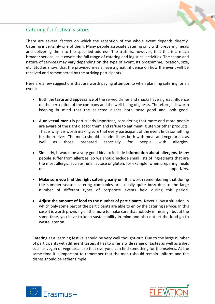

## <span id="page-12-0"></span>Catering for festival visitors

There are several factors on which the reception of the whole event depends directly. Catering is certainly one of them. Many people associate catering only with preparing meals and delivering them to the specified address. The truth is, however, that this is a much broader service, as it covers the full range of catering and logistical activities. The scope and nature of services may vary depending on the type of event, its programme, location, size, etc. Studies show, that the provided meals have a great influence on how the event will be received and remembered by the arriving participants.

Here are a few suggestions that are worth paying attention to when planning catering for an event:

- Both the **taste and appearance** of the served dishes and snacks have a great influence on the perception of the company and the well-being of guests. Therefore, it is worth keeping in mind that the selected dishes both taste good and look good.
- A **universal menu** is particularly important, considering that more and more people are aware of the right diet for them and refuse to eat meat, gluten or other products. That is why it is worth making sure that every participant of the event finds something for themselves. The menu should include dishes both with meat and vegetarian, as well as those prepared especially for people with allergies.
- Similarly, it would be a very good idea to include **information about allergens**. Many people suffer from allergies, so we should include small lists of ingredients that are the most allergic, such as nuts, lactose or gluten, for example, when preparing meals or appetizers.
- **Make sure you find the right catering early on**. It is worth remembering that during the summer season catering companies are usually quite busy due to the large number of different types of corporate events held during this period.
- **Adjust the amount of food to the number of participants**. Never allow a situation in which only some part of the participants are able to enjoy the catering service. In this case it is worth providing a little more to make sure that nobody is missing - but at the same time, you have to keep sustainability in mind and also not let the food go to waste later on.

Catering at a learning festival should be very well thought-out. Due to the large number of participants with different tastes, it has to offer a wide range of tastes as well as a diet such as vegan or vegetarian, so that everyone can find something for themselves. At the same time it is important to remember that the menu should remain uniform and the dishes should be rather simple.



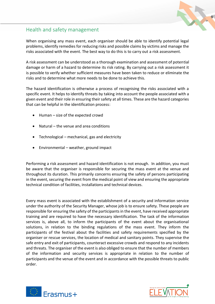

## <span id="page-13-0"></span>Health and safety management

When organising any mass event, each organiser should be able to identify potential legal problems, identify remedies for reducing risks and possible claims by victims and manage the risks associated with the event. The best way to do this is to carry out a risk assessment.

A risk assessment can be understood as a thorough examination and assessment of potential damage or harm of a hazard to determine its risk rating. By carrying out a risk assessment it is possible to verify whether sufficient measures have been taken to reduce or eliminate the risks and to determine what more needs to be done to achieve this.

The hazard identification is otherwise a process of recognising the risks associated with a specific event. It helps to identify threats by taking into account the people associated with a given event and their role in ensuring their safety at all times. These are the hazard categories that can be helpful in the identification process:

- Human size of the expected crowd
- Natural the venue and area conditions
- Technological mechanical, gas and electricity
- Environmental weather, ground impact

Performing a risk assessment and hazard identification is not enough. In addition, you must be aware that the organiser is responsible for securing the mass event at the venue and throughout its duration. This primarily concerns ensuring the safety of persons participating in the event, securing the event from the medical point of view and ensuring the appropriate technical condition of facilities, installations and technical devices.

Every mass event is associated with the establishment of a security and information service under the authority of the Security Manager, whose job is to ensure safety. These people are responsible for ensuring the safety of the participants in the event, have received appropriate training and are required to have the necessary identification. The task of the information services is, above all, to inform the participants of the event about the organisational solutions, in relation to the binding regulations of the mass event. They inform the participants of the festival about the facilities and safety requirements specified by the organiser or rescue services, the location of medical and sanitary points. They supervise the safe entry and exit of participants, counteract excessive crowds and respond to any incidents and threats. The organiser of the event is also obliged to ensure that the number of members of the information and security services is appropriate in relation to the number of participants and the venue of the event and in accordance with the possible threats to public order.



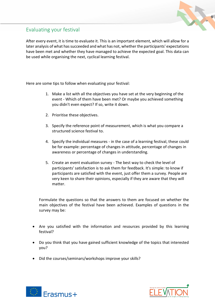

## <span id="page-14-0"></span>Evaluating your festival

After every event, it is time to evaluate it. This is an important element, which will allow for a later analysis of what has succeeded and what has not, whether the participants' expectations have been met and whether they have managed to achieve the expected goal. This data can be used while organising the next, cyclical learning festival.

Here are some tips to follow when evaluating your festival:

- 1. Make a list with all the objectives you have set at the very beginning of the event - Which of them have been met? Or maybe you achieved something you didn't even expect? If so, write it down.
- 2. Prioritise these objectives.
- 3. Specify the reference point of measurement, which is what you compare a structured science festival to.
- 4. Specify the individual measures in the case of a learning festival, these could be for example: percentage of changes in attitude, percentage of changes in awareness or percentage of changes in understanding.
- 5. Create an event evaluation survey The best way to check the level of participants' satisfaction is to ask them for feedback. It's simple: to know if participants are satisfied with the event, just offer them a survey. People are very keen to share their opinions, especially if they are aware that they will matter.

Formulate the questions so that the answers to them are focused on whether the main objectives of the festival have been achieved. Examples of questions in the survey may be:

- Are you satisfied with the information and resources provided by this learning festival?
- Do you think that you have gained sufficient knowledge of the topics that interested you?
- Did the courses/seminars/workshops improve your skills?



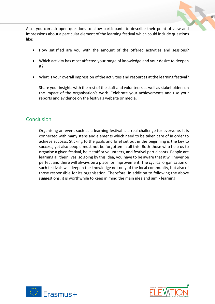

Also, you can ask open questions to allow participants to describe their point of view and impressions about a particular element of the learning festival which could include questions like:

- How satisfied are you with the amount of the offered activities and sessions?
- Which activity has most affected your range of knowledge and your desire to deepen it?
- What is your overall impression of the activities and resources at the learning festival?

Share your insights with the rest of the staff and volunteers as well as stakeholders on the impact of the organisation's work. Celebrate your achievements and use your reports and evidence on the festivals website or media.

#### <span id="page-15-0"></span>Conclusion

Organising an event such as a learning festival is a real challenge for everyone. It is connected with many steps and elements which need to be taken care of in order to achieve success. Sticking to the goals and brief set out in the beginning is the key to success, yet also people must not be forgotten in all this. Both those who help us to organise a given festival, be it staff or volunteers, and festival participants. People are learning all their lives, so going by this idea, you have to be aware that it will never be perfect and there will always be a place for improvement. The cyclical organisation of such festivals will deepen the knowledge not only of the local community, but also of those responsible for its organisation. Therefore, in addition to following the above suggestions, it is worthwhile to keep in mind the main idea and aim - learning.



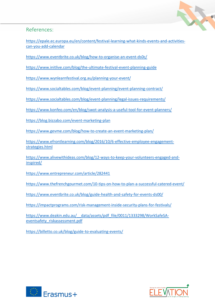

<span id="page-16-0"></span>References:

[https://epale.ec.europa.eu/en/content/festival-learning-what-kinds-events-and-activities](https://epale.ec.europa.eu/en/content/festival-learning-what-kinds-events-and-activities-can-you-add-calendar)[can-you-add-calendar](https://epale.ec.europa.eu/en/content/festival-learning-what-kinds-events-and-activities-can-you-add-calendar)

<https://www.eventbrite.co.uk/blog/how-to-organise-an-event-ds0c/>

<https://www.initlive.com/blog/the-ultimate-festival-event-planning-guide>

<https://www.wynlearnfestival.org.au/planning-your-event/>

<https://www.socialtables.com/blog/event-planning/event-planning-contract/>

<https://www.socialtables.com/blog/event-planning/legal-issues-requirements/>

<https://www.konfeo.com/en/blog/swot-analysis-a-useful-tool-for-event-planners/>

<https://blog.bizzabo.com/event-marketing-plan>

<https://www.gevme.com/blog/how-to-create-an-event-marketing-plan/>

[https://www.efrontlearning.com/blog/2016/10/6-effective-employee-engagement](https://www.efrontlearning.com/blog/2016/10/6-effective-employee-engagement-strategies.html)[strategies.html](https://www.efrontlearning.com/blog/2016/10/6-effective-employee-engagement-strategies.html)

[https://www.alivewithideas.com/blog/12-ways-to-keep-your-volunteers-engaged-and](https://www.alivewithideas.com/blog/12-ways-to-keep-your-volunteers-engaged-and-inspired/)[inspired/](https://www.alivewithideas.com/blog/12-ways-to-keep-your-volunteers-engaged-and-inspired/)

<https://www.entrepreneur.com/article/282441>

<https://www.thefrenchgourmet.com/10-tips-on-how-to-plan-a-successful-catered-event/>

<https://www.eventbrite.co.uk/blog/guide-health-and-safety-for-events-ds00/>

<https://impactprograms.com/risk-management-inside-security-plans-for-festivals/>

[https://www.deakin.edu.au/\\_\\_data/assets/pdf\\_file/0011/1333298/WorkSafeSA](https://www.deakin.edu.au/__data/assets/pdf_file/0011/1333298/WorkSafeSA-eventsafety_riskassessment.pdf)[eventsafety\\_riskassessment.pdf](https://www.deakin.edu.au/__data/assets/pdf_file/0011/1333298/WorkSafeSA-eventsafety_riskassessment.pdf)

<https://billetto.co.uk/blog/guide-to-evaluating-events/>